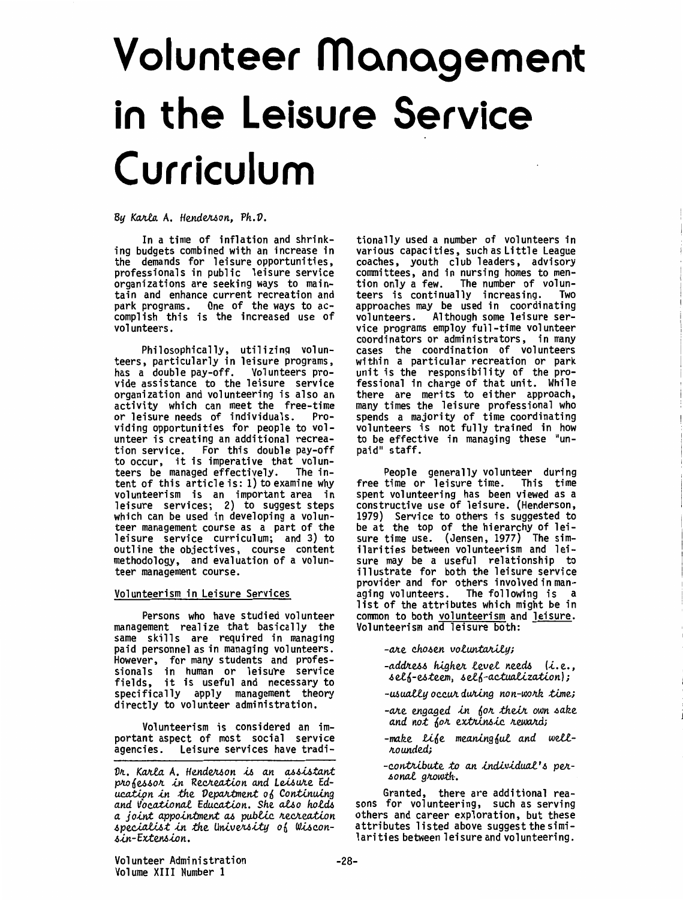# Volunteer Management in the Leisure Service Curriculum

By Karla A. Henderson, Ph.D.

In a time of inflation and shrinking budgets combined with an increase in the demands for leisure opportunities, professionals in public leisure service organizations are seeking ways to maintain and enhance current recreation and<br>park programs. One of the ways to accomplish this is the increased use of volunteers.

Philosophically, utilizing volunteers, particularly in leisure programs, has a double pay-off. Volunteers provide assistance to the leisure service organization and volunteering is also an activity which can meet the free-time or leisure needs of individuals. Providing opportunities for people to volunteer is creating an additional recrea-For this double pay-off tion service. to occur, it is imperative that volun-The inteers be managed effectively. tent of this article is: 1) to examine why volunteerism is an important area in<br>leisure services; 2) to suggest steps which can be used in developing a volunteer management course as a part of the leisure service curriculum; and 3) to outline the objectives, course content methodology, and evaluation of a volunteer management course.

Volunteerism in Leisure Services

Persons who have studied volunteer management realize that basically the same skills are required in managing paid personnel as in managing volunteers. However, for many students and profes-<br>sionals in human or leisure service<br>fields, it is useful and necessary to specifically apply management theory directly to volunteer administration.

Volunteerism is considered an important aspect of most social service Leisure services have tradiagencies.

Dr. Karla A. Henderson is an assistant professor in Recreation and Leisure Education in the Department of Continuing and Vocational Education. She also holds a joint appointment as public recreation specialist in the University of Wisconsin-Extension.

tionally used a number of volunteers in various capacities, such as Little League coaches, youth club leaders, advisory committees, and in nursing homes to mention only a few. The number of volunteers is continually increasing. Two<br>approaches may be used in coordinating volunteers. Although some leisure service programs employ full-time volunteer coordinators or administrators, in many cases the coordination of volunteers within a particular recreation or park unit is the responsibility of the pro-<br>fessional in charge of that unit. While there are merits to either approach, many times the leisure professional who spends a majority of time coordinating<br>volunteers is not fully trained in how<br>to be effective in managing these "unpaid" staff.

People generally volunteer during free time or leisure time. This time spent volunteering has been viewed as a constructive use of leisure. (Henderson, 1979) Service to others is suggested to<br>be at the top of the hierarchy of leisure time use. (Jensen, 1977) The similarities between volunteerism and leisure may be a useful relationship to illustrate for both the leisure service provider and for others involved in managing volunteers. The following is a list of the attributes which might be in common to both volunteerism and leisure. Volunteerism and leisure both:

-are chosen voluntarily;

-address higher level needs (i.e., self-esteem, self-actualization);

-usually occur during non-work time;

-are engaged in for their own sake and not for extrinsic reward;

-make life meaningful and wellrounded;

-contribute to an individual's personal growth.

Granted, there are additional reasons for volunteering, such as serving others and career exploration, but these attributes listed above suggest the similarities between leisure and volunteering.

Volunteer Administration Volume XIII Number 1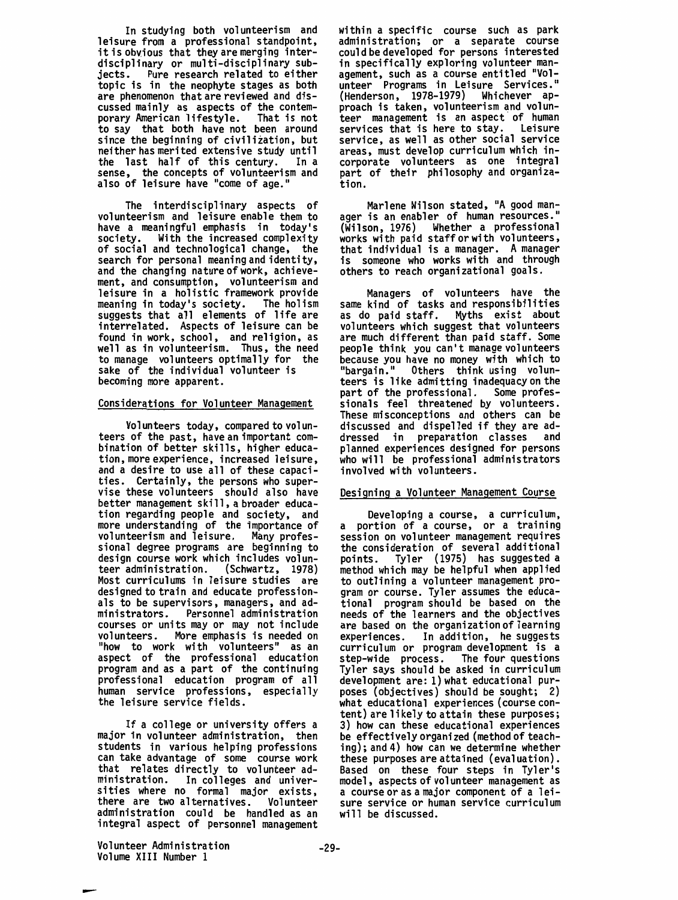In studying both volunteerism and<br>leisure from a professional standpoint. it is obvious that they are merging interdisciplinary or multi-disciplinary subjects. Pure research related to either topic is in the neophyte stages as both are phenomenon that are reviewed and discussed mainly as aspects of the contemporary American lifestyle. That is not to say that both have not been around since the beginning of civilization, but neither has merited extensive study until<br>the last half of this century. In a the last half of this century. In a<br>sense, the concepts of volunteerism and also of leisure have "come of age."

The interdisciplinary aspects of volunteerism and leisure enable them to have a meaningful emphasis in today's society. With the increased complexity of social and technological change, the search for personal meaning and identity, and the changing nature of work, achievement, and consumption, volunteerism and leisure in a holistic framework provide meaning in today's society. The holism suggests that all elements of life are interrelated. Aspects of leisure can be found in work, school, and religion, as well as in volunteerism. Thus, the need to manage volunteers optimally for the sake of the individual volunteer is becoming more apparent.

# Considerations for Volunteer Management

Volunteers today, compared to volun- teers of the past, have an important combination of better skills, higher education, more experience, increased leisure, and a desire to use all of these capacities. Certainly, the persons who supervise these volunteers should also have better management ski 11, a broader education regarding people and society, and more understanding of the importance of volunteerism and leisure. Many professional degree programs are beginning to design course work which includes volun-<br>teer administration. (Schwartz, 1978) teer administration. Most curriculums in leisure studies are designed to train and educate professionals to be supervisors, managers, and administrators. Personnel administration courses or units may or may not include volunteers. More emphasis is needed on "how to work with volunteers" as an aspect of the professional education program and as a part of the continuing professional education program of all human service professions, especially the leisure service fields.

If a college or university offers a major in volunteer administration, then students in various helping professions can take advantage of some course work that relates directly to volunteer administration. In colleges and universities where no formal major exists,<br>there are two alternatives. Volunteer there are two alternatives. administration could be handled as an integral aspect of personnel management within a specific course such as park administration; or a separate course could be developed for persons interested in specifically exploring volunteer management, such as a course entitled "Volunteer Programs in Leisure Services." (Henderson, 1978-1979) Whichever approach is taken, volunteerism and volunteer management is an aspect of human<br>services that is here to stay. Leisure services that is here to stay. service, as well as other social service areas, must develop curriculum which incorporate volunteers as one integral part of their philosophy and organization.

Marlene Wilson stated, "A good man-<br>" ager is an enabler of human resources. (Wilson, 1976) Whether a professional works with paid staff or with volunteers, that individual is a manager. A manager is someone who works with and through others to reach organizational goals.

Managers of volunteers have the<br>same kind of tasks and responsibilities<br>as do paid staff. Myths exist about Myths exist about volunteers which suggest that volunteers are much different than paid staff. Some people think you can't manage volunteers because you have no money with which to<br>"bargain." Others think using volunteers is like admitting inadequacy on the<br>part of the professional. Some profespart of the professional. sionals feel threatened by volunteers. These misconceptions and others can be discussed and dispelled if they are ad-<br>dressed in preparation classes and dressed in preparation classes planned experiences designed for persons who will be professional administrators involved with volunteers.

### Designing a Volunteer Management Course

Developing a course, a curriculum, a portion of a course, or a training session on volunteer management requires the consideration of several additional points. Tyler (1975) has suggested a method which may be helpful when applied to outlining a volunteer management program or course. Tyler assumes the educational program should be based on the needs of the learners and the objectives are based on the organization of learning experiences. In addition, he suggests curriculum or program development is a step-wide process. The four questions Tyler says should be asked in curriculum development are: l)what educational purposes (objectives) should be sought; 2) what educational experiences (course content) are likely to attain these purposes; 3) how can these educational experiences be effectively organized (method of teaching); and 4) how can we determine whether these purposes are attained ( evaluation). Based on these four steps in Tyler's model, aspects of volunteer management as a course or as a major component of a leisure service or human service curriculum will be discussed.

Volunteer Administration Volume XIII Number 1

-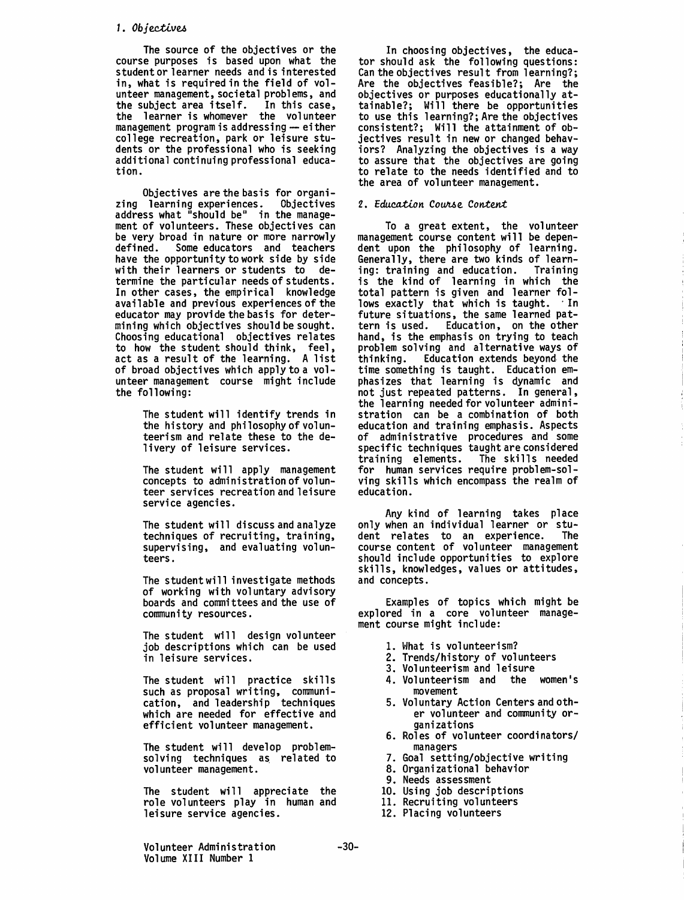## 1. Objectives

The source of the objectives or the course purposes is based upon what the student or learner needs and is interested in, what is required in the field of volun teer management, societal problems, and the subject area itself. In this case, the learner is whomever the volunteer management program is addressing  $-$  either college recreation, park or leisure students or the professional who is seeking additional continuing professional education.

Objectives are the basis for organi- zing learning experiences. Objectives address what "should be" in the manage-<br>ment of volunteers. These objectives can be very broad in nature or more narrowly<br>defined. Some educators and teachers Some educators and teachers have the opportunity to work side by side with their learners or students to determine the particular needs of students. In other cases, the empirical knowledge available and previous experiences of the educator may provide the basis for determining which objectives should be sought. Choosing educational objectives relates to how the student should think, feel, act as a result of the learning. A list of broad objectives which applytoa volunteer management course might include the following:

> The student will identify trends in the history and philosophy of volunteerism and relate these to the delivery of leisure services.

> The student will apply management concepts to administration of volunteer services recreation and leisure service agencies.

> The student will discuss and analyze techniques of recruiting, training, supervising, and evaluating volunteers.

> The student will investigate methods of working with voluntary advisory boards and committees and the use of community resources.

> The student will design volunteer job descriptions which can be used in leisure services.

The student will practice skills such as proposal writing, communication, and leadership techniques which are needed for effective and efficient volunteer management.

The student will develop problemsolving techniques as related to volunteer management.

The student will appreciate the role volunteers play in human and leisure service agencies.

In choosing objectives, the educa- tor should ask the following questions: Can the objectives result from learning?; Are the objectives feasible?; Are the objectives or purposes educationally attainable?; Will there be opportunities to use this learning?; Are the objectives consistent?; Will the attainment of objectives result in new or changed behaviors? Analyzing the objectives is a way to assure that the objectives are going to relate to the needs identified and to the area of volunteer management.

# 2. Education Course Content

To a great extent, the volunteer management course content will be dependent upon the philosophy of learning. Generally, there are two kinds of learn-<br>ing: training and education. Training ing: training and education. is the kind of learning in which the total pattern is given and learner follows exactly that which is taught. In future situations, the same learned pattern is used. Education, on the other hand, is the emphasis on trying to teach problem solving and alternative ways of thinking. Education extends beyond-the time something is taught. Education emphasizes that learning is dynamic and not just repeated patterns. In general, the learning needed for volunteer administration can be a combination of both education and training emphasis. Aspects of administrative procedures and some specific techniques taught are considered<br>training elements. The skills needed training elements. for human services require problem-solving skills which encompass the realm of education.

Any kind of learning takes place only when an individual learner or student relates to an experience. The course content of volunteer management should include opportunities to explore skills, knowledges, values or attitudes, and concepts.

Examples of topics which might be explored in a core volunteer management course might include:

- 1. What is volunteerism?
- 2. Trends/history of volunteers
- 3. Volunteerism and leisure
- 4. Volunteerism and the women's movement
- 5. Voluntary Action Centers and oth- er volunteer and community or-
- 6. Roles of volunteer coordinators/ managers 7. Goal setting/objective writing
- 
- 8. Organizational behavior
- 9. Needs assessment
- 10. Using job descriptions 11. Recruiting volunteers
- 
- 12. Placing volunteers

Volunteer Administration Volume XIII Number 1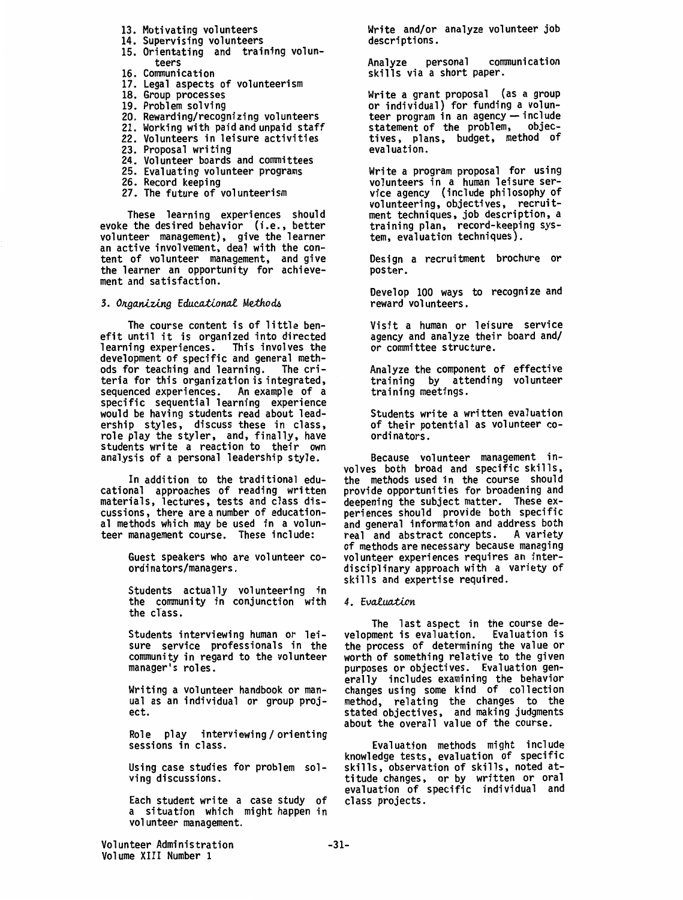- 13. Motivating volunteers
- 14. Supervising volunteers
- 15. Orientating and training volunteers
- 16. Communication
- 17. Legal aspects of volunteerism
- 18. Group processes
- 19. Problem solving
- 20. Rewarding/recognizing volunteers
- 21. Working with paid and unpaid staff
- 22. Volunteers in leisure activities
- 23. Proposal writing
- 24. Volunteer boards and committees
- 25. Evaluating volunteer programs
- 26. Record keeping
- 27. The future of volunteerism

These learning experiences should evoke the desired behavior (i.e., better volunteer management), give the learner an active involvement, deal with the content of volunteer management, and give<br>the learner an opportunity for achieve-<br>ment and satisfaction.

3. Organizing *Educational* Methods

The course content is of little benefit until it is organized into directed learning experiences. This involves the development of specific and general methods for teaching and learning. The criteria for this organization is integrated, sequenced experiences. An example of a specific sequential learning experience would be having students read about leadership styles, discuss these in class, role play the styler, and, finally, have students write a reaction to their own analysis of a personal leadership style.

In addition to the traditional edu-<br>cational approaches of reading written materials, lectures, tests and class discussions, there are a number of educational methods which may be used in a volunteer management course. These include:

> Guest speakers who are volunteer coordinators/managers.

Students actually volunteering in the community in conjunction with the class.

Students interviewing human or leisure service professionals in the community in regard to the volunteer manager's roles.

Writing a volunteer handbook or manual as an individual or group project.

Role play interviewing/orienting sessions in class.

Using case studies for problem solving discussions.

Each student write a case study of a situation which might happen in volunteer management.

Write and/or analyze volunteer job descriptions.

Analyze personal communication skills via a short paper.

Write a grant proposal **(as a** group or individual) for funding a volunteer program in an agency - include statement of the problem, objectives, plans, budget, method of evaluation.

Write a program proposal for using<br>volunteers in a human leisure service agency (include philosophy of volunteering, objectives, recruitment techniques, job description, a training plan, record-keeping system, evaluation techniques).

Design a recruitment brochure or poster.

Develop 100 ways to recognize and reward volunteers.

Visit a human or leisure service agency and analyze their board and/ or committee structure.

Analyze the component of effective training by attending volunteer training meetings.

Students write a written evaluation of their potential as volunteer coordinators.

Because volunteer management in- volves both broad and specific skills, the methods used in the course should provide opportunities for broadening and deepening the subject matter. These experiences should provide both specific and general information and address both<br>real and abstract concepts. A variety real and abstract concepts. of methods are necessary because managing volunteer experiences requires an interdisciplinary approach with a variety of skills and expertise required.

# *4. Evai.uailon*

The last aspect in the course de- velopment is evaluation. Evaluation is the process of determining the value or worth of something relative to the given purposes or objectives. Evaluation generally includes examining the behavior changes using some kind of collection method, relating the changes to the stated objectives, and making judgments about the overall value of the course.

Evaluation methods might include knowledge tests, evaluation of specific skills, observation of skills, noted attitude changes, or by written or oral evaluation of specific individual and class projects.

Volunteer Administration Volume XIII Number 1